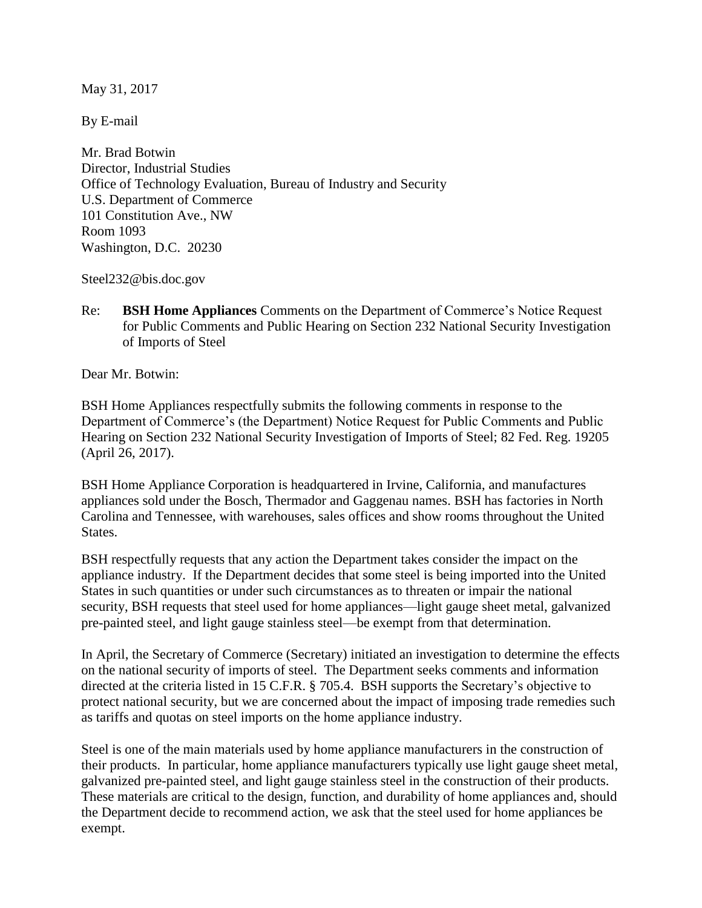May 31, 2017

By E-mail

Mr. Brad Botwin Director, Industrial Studies Office of Technology Evaluation, Bureau of Industry and Security U.S. Department of Commerce 101 Constitution Ave., NW Room 1093 Washington, D.C. 20230

Steel232@bis.doc.gov

Re: **BSH Home Appliances** Comments on the Department of Commerce's Notice Request for Public Comments and Public Hearing on Section 232 National Security Investigation of Imports of Steel

Dear Mr. Botwin:

BSH Home Appliances respectfully submits the following comments in response to the Department of Commerce's (the Department) Notice Request for Public Comments and Public Hearing on Section 232 National Security Investigation of Imports of Steel; 82 Fed. Reg. 19205 (April 26, 2017).

BSH Home Appliance Corporation is headquartered in Irvine, California, and manufactures appliances sold under the Bosch, Thermador and Gaggenau names. BSH has factories in North Carolina and Tennessee, with warehouses, sales offices and show rooms throughout the United States.

BSH respectfully requests that any action the Department takes consider the impact on the appliance industry. If the Department decides that some steel is being imported into the United States in such quantities or under such circumstances as to threaten or impair the national security, BSH requests that steel used for home appliances—light gauge sheet metal, galvanized pre-painted steel, and light gauge stainless steel—be exempt from that determination.

In April, the Secretary of Commerce (Secretary) initiated an investigation to determine the effects on the national security of imports of steel. The Department seeks comments and information directed at the criteria listed in 15 C.F.R. § 705.4. BSH supports the Secretary's objective to protect national security, but we are concerned about the impact of imposing trade remedies such as tariffs and quotas on steel imports on the home appliance industry.

Steel is one of the main materials used by home appliance manufacturers in the construction of their products. In particular, home appliance manufacturers typically use light gauge sheet metal, galvanized pre-painted steel, and light gauge stainless steel in the construction of their products. These materials are critical to the design, function, and durability of home appliances and, should the Department decide to recommend action, we ask that the steel used for home appliances be exempt.